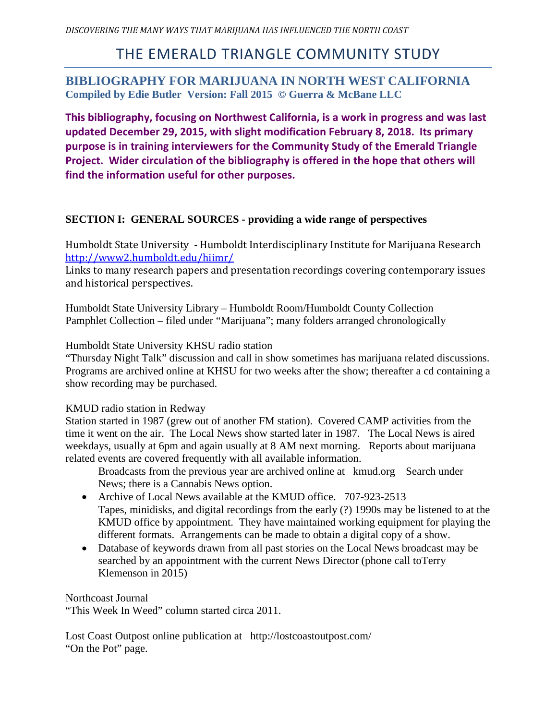# THE EMERALD TRIANGLE COMMUNITY STUDY

# **BIBLIOGRAPHY FOR MARIJUANA IN NORTH WEST CALIFORNIA Compiled by Edie Butler Version: Fall 2015 © Guerra & McBane LLC**

**This bibliography, focusing on Northwest California, is a work in progress and was last updated December 29, 2015, with slight modification February 8, 2018. Its primary purpose is in training interviewers for the Community Study of the Emerald Triangle Project. Wider circulation of the bibliography is offered in the hope that others will find the information useful for other purposes.** 

## **SECTION I: GENERAL SOURCES - providing a wide range of perspectives**

Humboldt State University - Humboldt Interdisciplinary Institute for Marijuana Research <http://www2.humboldt.edu/hiimr/>

Links to many research papers and presentation recordings covering contemporary issues and historical perspectives.

Humboldt State University Library – Humboldt Room/Humboldt County Collection Pamphlet Collection – filed under "Marijuana"; many folders arranged chronologically

#### Humboldt State University KHSU radio station

"Thursday Night Talk" discussion and call in show sometimes has marijuana related discussions. Programs are archived online at KHSU for two weeks after the show; thereafter a cd containing a show recording may be purchased.

#### KMUD radio station in Redway

Station started in 1987 (grew out of another FM station). Covered CAMP activities from the time it went on the air. The Local News show started later in 1987. The Local News is aired weekdays, usually at 6pm and again usually at 8 AM next morning. Reports about marijuana related events are covered frequently with all available information.

Broadcasts from the previous year are archived online at kmud.org Search under News; there is a Cannabis News option.

- Archive of Local News available at the KMUD office. 707-923-2513 Tapes, minidisks, and digital recordings from the early (?) 1990s may be listened to at the KMUD office by appointment. They have maintained working equipment for playing the different formats. Arrangements can be made to obtain a digital copy of a show.
- Database of keywords drawn from all past stories on the Local News broadcast may be searched by an appointment with the current News Director (phone call toTerry Klemenson in 2015)

Northcoast Journal

"This Week In Weed" column started circa 2011.

Lost Coast Outpost online publication at http://lostcoastoutpost.com/ "On the Pot" page.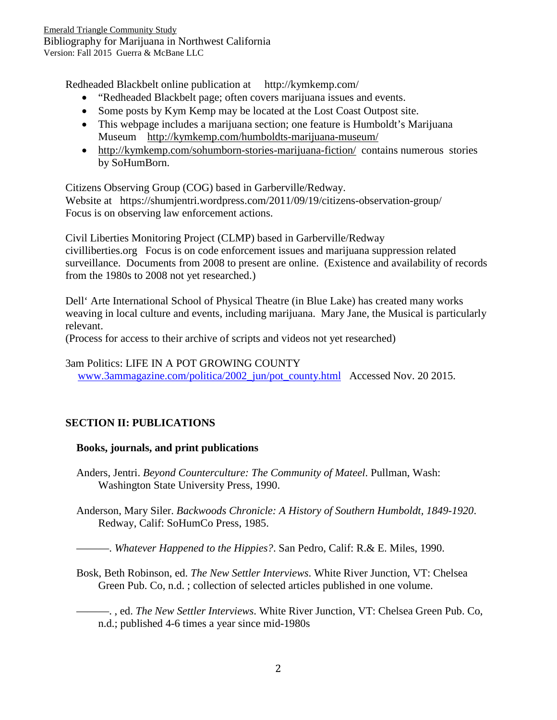Redheaded Blackbelt online publication at http://kymkemp.com/

- "Redheaded Blackbelt page; often covers marijuana issues and events.
- Some posts by Kym Kemp may be located at the Lost Coast Outpost site.
- This webpage includes a marijuana section; one feature is Humboldt's Marijuana Museum <http://kymkemp.com/humboldts-marijuana-museum/>
- <http://kymkemp.com/sohumborn-stories-marijuana-fiction/>contains numerous stories by SoHumBorn.

Citizens Observing Group (COG) based in Garberville/Redway.

Website at https://shumjentri.wordpress.com/2011/09/19/citizens-observation-group/ Focus is on observing law enforcement actions.

Civil Liberties Monitoring Project (CLMP) based in Garberville/Redway civilliberties.org Focus is on code enforcement issues and marijuana suppression related surveillance. Documents from 2008 to present are online. (Existence and availability of records from the 1980s to 2008 not yet researched.)

Dell' Arte International School of Physical Theatre (in Blue Lake) has created many works weaving in local culture and events, including marijuana. Mary Jane, the Musical is particularly relevant.

(Process for access to their archive of scripts and videos not yet researched)

[3am Politics: LIFE IN A POT GROWING COUNTY](http://www.3ammagazine.com/politica/2002_jun/pot_county.html)

[www.3ammagazine.com/politica/2002\\_jun/pot\\_county.html](http://www.3ammagazine.com/politica/2002_jun/pot_county.html) Accessed Nov. 20 2015.

# **SECTION II: PUBLICATIONS**

## **Books, journals, and print publications**

- Anders, Jentri. *Beyond Counterculture: The Community of Mateel*. Pullman, Wash: Washington State University Press, 1990.
- Anderson, Mary Siler. *Backwoods Chronicle: A History of Southern Humboldt, 1849-1920*. Redway, Calif: SoHumCo Press, 1985.

———. *Whatever Happened to the Hippies?*. San Pedro, Calif: R.& E. Miles, 1990.

- Bosk, Beth Robinson, ed. *The New Settler Interviews*. White River Junction, VT: Chelsea Green Pub. Co, n.d. ; collection of selected articles published in one volume.
- ———. , ed. *The New Settler Interviews*. White River Junction, VT: Chelsea Green Pub. Co, n.d.; published 4-6 times a year since mid-1980s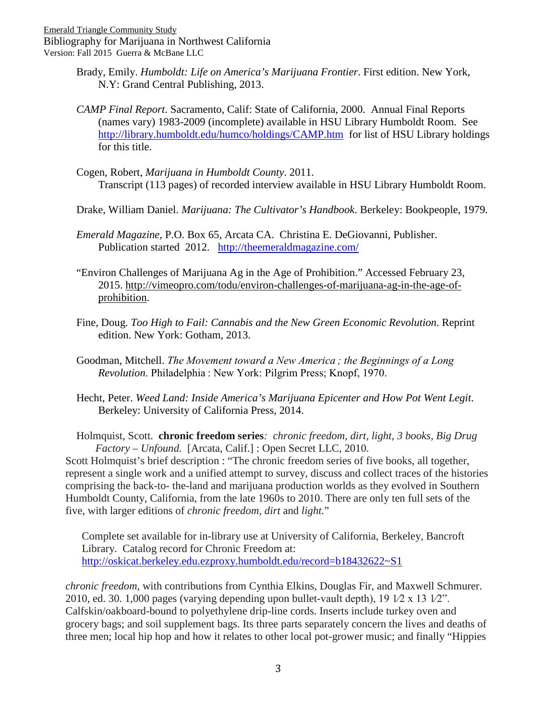- Brady, Emily. *Humboldt: Life on America's Marijuana Frontier*. First edition. New York, N.Y: Grand Central Publishing, 2013.
- *CAMP Final Report*. Sacramento, Calif: State of California, 2000. Annual Final Reports (names vary) 1983-2009 (incomplete) available in HSU Library Humboldt Room. See <http://library.humboldt.edu/humco/holdings/CAMP.htm> for list of HSU Library holdings for this title.

 Cogen, Robert, *Marijuana in Humboldt County*. 2011. Transcript (113 pages) of recorded interview available in HSU Library Humboldt Room.

Drake, William Daniel. *Marijuana: The Cultivator's Handbook*. Berkeley: Bookpeople, 1979.

*Emerald Magazine*, P.O. Box 65, Arcata CA. Christina E. DeGiovanni, Publisher. Publication started 2012. <http://theemeraldmagazine.com/>

- "Environ Challenges of Marijuana Ag in the Age of Prohibition." Accessed February 23, 2015. [http://vimeopro.com/todu/environ-challenges-of-marijuana-ag-in-the-age-of](http://vimeopro.com/todu/environ-challenges-of-marijuana-ag-in-the-age-of-prohibition)[prohibition.](http://vimeopro.com/todu/environ-challenges-of-marijuana-ag-in-the-age-of-prohibition)
- Fine, Doug. *Too High to Fail: Cannabis and the New Green Economic Revolution*. Reprint edition. New York: Gotham, 2013.
- Goodman, Mitchell. *The Movement toward a New America ; the Beginnings of a Long Revolution*. Philadelphia : New York: Pilgrim Press; Knopf, 1970.
- Hecht, Peter. *Weed Land: Inside America's Marijuana Epicenter and How Pot Went Legit*. Berkeley: University of California Press, 2014.

 Holmquist, Scott. **chronic freedom series***: chronic freedom, dirt, light, 3 books, Big Drug Factory – Unfound.* [Arcata, Calif.] : Open Secret LLC, 2010.

Scott Holmquist's brief description : "The chronic freedom series of five books, all together, represent a single work and a unified attempt to survey, discuss and collect traces of the histories comprising the back-to- the-land and marijuana production worlds as they evolved in Southern Humboldt County, California, from the late 1960s to 2010. There are only ten full sets of the five, with larger editions of *chronic freedom, dirt* and *light.*"

 Complete set available for in-library use at University of California, Berkeley, Bancroft Library. Catalog record for Chronic Freedom at: [http://oskicat.berkeley.edu.ezproxy.humboldt.edu/record=b18432622~S1](http://oskicat.berkeley.edu.ezproxy.humboldt.edu/record=b18432622%7ES1)

*chronic freedom*, with contributions from Cynthia Elkins, Douglas Fir, and Maxwell Schmurer. 2010, ed. 30. 1,000 pages (varying depending upon bullet-vault depth),  $19\ 1/2 \times 13\ 1/2$ ". Calfskin/oakboard-bound to polyethylene drip-line cords. Inserts include turkey oven and grocery bags; and soil supplement bags. Its three parts separately concern the lives and deaths of three men; local hip hop and how it relates to other local pot-grower music; and finally "Hippies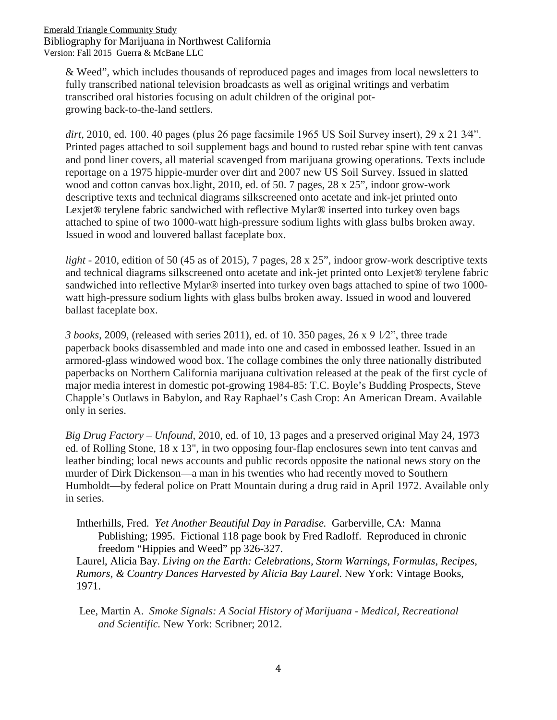& Weed", which includes thousands of reproduced pages and images from local newsletters to fully transcribed national television broadcasts as well as original writings and verbatim transcribed oral histories focusing on adult children of the original potgrowing back-to-the-land settlers.

*dirt*, 2010, ed. 100. 40 pages (plus 26 page facsimile 1965 US Soil Survey insert), 29 x 21 3⁄4". Printed pages attached to soil supplement bags and bound to rusted rebar spine with tent canvas and pond liner covers, all material scavenged from marijuana growing operations. Texts include reportage on a 1975 hippie-murder over dirt and 2007 new US Soil Survey. Issued in slatted wood and cotton canvas box.light, 2010, ed. of 50. 7 pages, 28 x 25", indoor grow-work descriptive texts and technical diagrams silkscreened onto acetate and ink-jet printed onto Lexjet® terylene fabric sandwiched with reflective Mylar® inserted into turkey oven bags attached to spine of two 1000-watt high-pressure sodium lights with glass bulbs broken away. Issued in wood and louvered ballast faceplate box.

*light* - 2010, edition of 50 (45 as of 2015), 7 pages, 28 x 25", indoor grow-work descriptive texts and technical diagrams silkscreened onto acetate and ink-jet printed onto Lexjet® terylene fabric sandwiched into reflective Mylar<sup>®</sup> inserted into turkey oven bags attached to spine of two 1000watt high-pressure sodium lights with glass bulbs broken away. Issued in wood and louvered ballast faceplate box.

*3 books*, 2009, (released with series 2011), ed. of 10. 350 pages, 26 x 9 1⁄2", three trade paperback books disassembled and made into one and cased in embossed leather. Issued in an armored-glass windowed wood box. The collage combines the only three nationally distributed paperbacks on Northern California marijuana cultivation released at the peak of the first cycle of major media interest in domestic pot-growing 1984-85: T.C. Boyle's Budding Prospects, Steve Chapple's Outlaws in Babylon, and Ray Raphael's Cash Crop: An American Dream. Available only in series.

*Big Drug Factory – Unfound*, 2010, ed. of 10, 13 pages and a preserved original May 24, 1973 ed. of Rolling Stone, 18 x 13", in two opposing four-flap enclosures sewn into tent canvas and leather binding; local news accounts and public records opposite the national news story on the murder of Dirk Dickenson—a man in his twenties who had recently moved to Southern Humboldt—by federal police on Pratt Mountain during a drug raid in April 1972. Available only in series.

Intherhills, Fred. *Yet Another Beautiful Day in Paradise.* Garberville, CA: Manna Publishing; 1995. Fictional 118 page book by Fred Radloff. Reproduced in chronic freedom "Hippies and Weed" pp 326-327.

Laurel, Alicia Bay. *Living on the Earth: Celebrations, Storm Warnings, Formulas, Recipes, Rumors, & Country Dances Harvested by Alicia Bay Laurel*. New York: Vintage Books, 1971.

 Lee, Martin A. *Smoke Signals: A Social History of Marijuana - Medical, Recreational and Scientific.* New York: Scribner; 2012.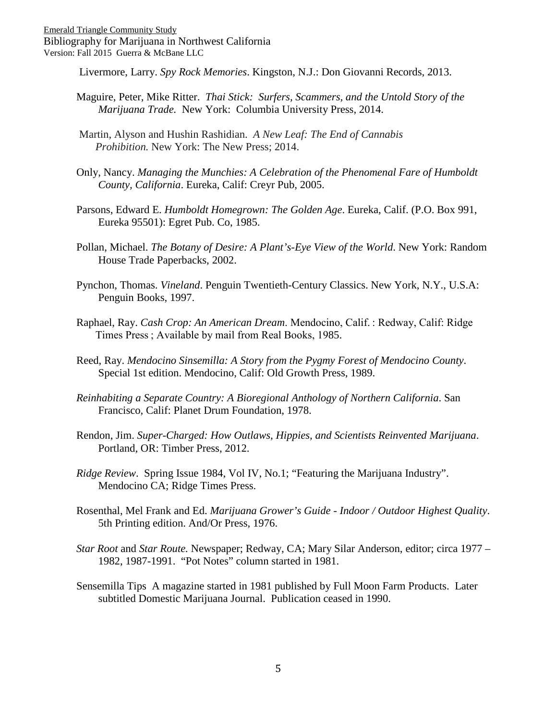Livermore, Larry. *Spy Rock Memories*. Kingston, N.J.: Don Giovanni Records, 2013.

- Maguire, Peter, Mike Ritter. *Thai Stick: Surfers, Scammers, and the Untold Story of the Marijuana Trade.* New York: Columbia University Press, 2014.
- Martin, Alyson and Hushin Rashidian. *A New Leaf: The End of Cannabis Prohibition.* New York: The New Press; 2014.
- Only, Nancy. *Managing the Munchies: A Celebration of the Phenomenal Fare of Humboldt County, California*. Eureka, Calif: Creyr Pub, 2005.
- Parsons, Edward E. *Humboldt Homegrown: The Golden Age*. Eureka, Calif. (P.O. Box 991, Eureka 95501): Egret Pub. Co, 1985.
- Pollan, Michael. *The Botany of Desire: A Plant's-Eye View of the World*. New York: Random House Trade Paperbacks, 2002.
- Pynchon, Thomas. *Vineland*. Penguin Twentieth-Century Classics. New York, N.Y., U.S.A: Penguin Books, 1997.
- Raphael, Ray. *Cash Crop: An American Dream*. Mendocino, Calif. : Redway, Calif: Ridge Times Press ; Available by mail from Real Books, 1985.
- Reed, Ray. *Mendocino Sinsemilla: A Story from the Pygmy Forest of Mendocino County*. Special 1st edition. Mendocino, Calif: Old Growth Press, 1989.
- *Reinhabiting a Separate Country: A Bioregional Anthology of Northern California*. San Francisco, Calif: Planet Drum Foundation, 1978.
- Rendon, Jim. *Super-Charged: How Outlaws, Hippies, and Scientists Reinvented Marijuana*. Portland, OR: Timber Press, 2012.
- *Ridge Review*. Spring Issue 1984, Vol IV, No.1; "Featuring the Marijuana Industry". Mendocino CA; Ridge Times Press.
- Rosenthal, Mel Frank and Ed. *Marijuana Grower's Guide - Indoor / Outdoor Highest Quality*. 5th Printing edition. And/Or Press, 1976.
- *Star Root* and *Star Route.* Newspaper; Redway, CA; Mary Silar Anderson, editor; circa 1977 1982, 1987-1991. "Pot Notes" column started in 1981.
- Sensemilla Tips A magazine started in 1981 published by Full Moon Farm Products. Later subtitled Domestic Marijuana Journal. Publication ceased in 1990.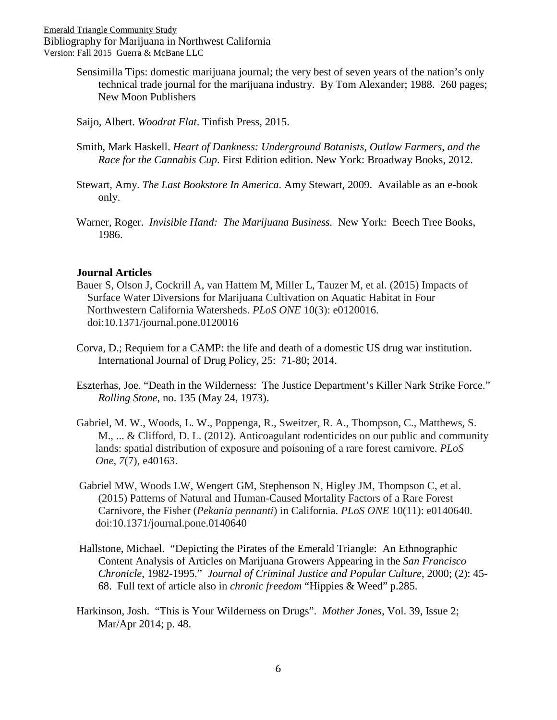- Sensimilla Tips: domestic marijuana journal; the very best of seven years of the nation's only technical trade journal for the marijuana industry. By Tom Alexander; 1988. 260 pages; New Moon Publishers
- Saijo, Albert. *Woodrat Flat*. Tinfish Press, 2015.
- Smith, Mark Haskell. *Heart of Dankness: Underground Botanists, Outlaw Farmers, and the Race for the Cannabis Cup*. First Edition edition. New York: Broadway Books, 2012.
- Stewart, Amy. *The Last Bookstore In America*. Amy Stewart, 2009. Available as an e-book only.
- Warner, Roger. *Invisible Hand: The Marijuana Business.* New York: Beech Tree Books, 1986.

#### **Journal Articles**

- Bauer S, Olson J, Cockrill A, van Hattem M, Miller L, Tauzer M, et al. (2015) Impacts of Surface Water Diversions for Marijuana Cultivation on Aquatic Habitat in Four Northwestern California Watersheds. *PLoS ONE* 10(3): e0120016. doi:10.1371/journal.pone.0120016
- Corva, D.; Requiem for a CAMP: the life and death of a domestic US drug war institution. International Journal of Drug Policy, 25: 71-80; 2014.
- Eszterhas, Joe. "Death in the Wilderness: The Justice Department's Killer Nark Strike Force." *Rolling Stone*, no. 135 (May 24, 1973).
- Gabriel, M. W., Woods, L. W., Poppenga, R., Sweitzer, R. A., Thompson, C., Matthews, S. M., ... & Clifford, D. L. (2012). Anticoagulant rodenticides on our public and community lands: spatial distribution of exposure and poisoning of a rare forest carnivore. *PLoS One*, *7*(7), e40163.
- Gabriel MW, Woods LW, Wengert GM, Stephenson N, Higley JM, Thompson C, et al. (2015) Patterns of Natural and Human-Caused Mortality Factors of a Rare Forest Carnivore, the Fisher (*Pekania pennanti*) in California. *PLoS ONE* 10(11): e0140640. doi:10.1371/journal.pone.0140640
- Hallstone, Michael. "Depicting the Pirates of the Emerald Triangle: An Ethnographic Content Analysis of Articles on Marijuana Growers Appearing in the *San Francisco Chronicle*, 1982-1995." *Journal of Criminal Justice and Popular Culture*, 2000; (2): 45- 68. Full text of article also in *chronic freedom* "Hippies & Weed" p.285.
- Harkinson, Josh. "This is Your Wilderness on Drugs". *Mother Jones,* Vol. 39, Issue 2; Mar/Apr 2014; p. 48.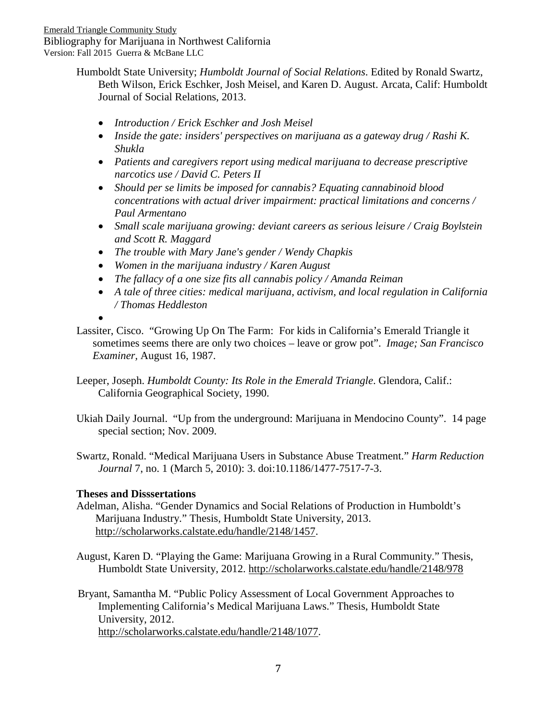> Humboldt State University; *Humboldt Journal of Social Relations*. Edited by Ronald Swartz, Beth Wilson, Erick Eschker, Josh Meisel, and Karen D. August. Arcata, Calif: Humboldt Journal of Social Relations, 2013.

- *Introduction / Erick Eschker and Josh Meisel*
- *Inside the gate: insiders' perspectives on marijuana as a gateway drug / Rashi K. Shukla*
- *Patients and caregivers report using medical marijuana to decrease prescriptive narcotics use / David C. Peters II*
- *Should per se limits be imposed for cannabis? Equating cannabinoid blood concentrations with actual driver impairment: practical limitations and concerns / Paul Armentano*
- *Small scale marijuana growing: deviant careers as serious leisure / Craig Boylstein and Scott R. Maggard*
- *The trouble with Mary Jane's gender / Wendy Chapkis*
- *Women in the marijuana industry / Karen August*
- *The fallacy of a one size fits all cannabis policy / Amanda Reiman*
- *A tale of three cities: medical marijuana, activism, and local regulation in California / Thomas Heddleston*
- •
- Lassiter, Cisco. "Growing Up On The Farm: For kids in California's Emerald Triangle it sometimes seems there are only two choices – leave or grow pot". *Image; San Francisco Examiner,* August 16, 1987.
- Leeper, Joseph. *Humboldt County: Its Role in the Emerald Triangle*. Glendora, Calif.: California Geographical Society, 1990.
- Ukiah Daily Journal. "Up from the underground: Marijuana in Mendocino County". 14 page special section; Nov. 2009.
- Swartz, Ronald. "Medical Marijuana Users in Substance Abuse Treatment." *Harm Reduction Journal* 7, no. 1 (March 5, 2010): 3. doi:10.1186/1477-7517-7-3.

## **Theses and Disssertations**

- Adelman, Alisha. "Gender Dynamics and Social Relations of Production in Humboldt's Marijuana Industry." Thesis, Humboldt State University, 2013. [http://scholarworks.calstate.edu/handle/2148/1457.](http://scholarworks.calstate.edu/handle/2148/1457)
- August, Karen D. "Playing the Game: Marijuana Growing in a Rural Community." Thesis, Humboldt State University, 2012.<http://scholarworks.calstate.edu/handle/2148/978>
- Bryant, Samantha M. "Public Policy Assessment of Local Government Approaches to Implementing California's Medical Marijuana Laws." Thesis, Humboldt State University, 2012. [http://scholarworks.calstate.edu/handle/2148/1077.](http://scholarworks.calstate.edu/handle/2148/1077)

7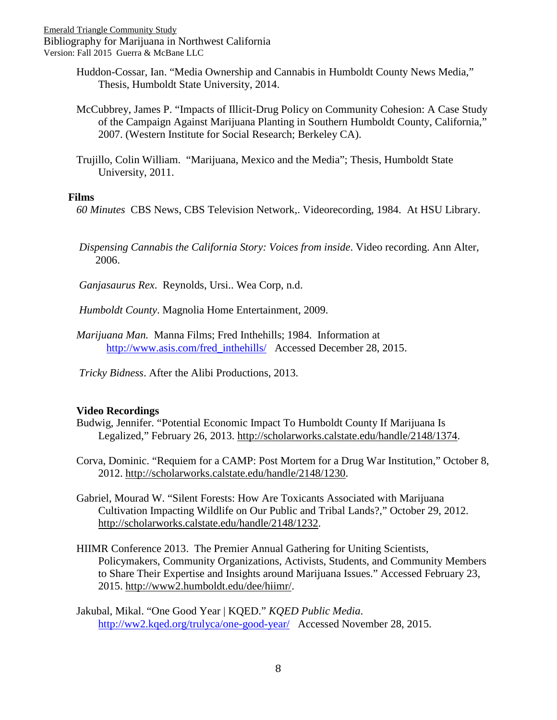- Huddon-Cossar, Ian. "Media Ownership and Cannabis in Humboldt County News Media," Thesis, Humboldt State University, 2014.
- McCubbrey, James P. "Impacts of Illicit-Drug Policy on Community Cohesion: A Case Study of the Campaign Against Marijuana Planting in Southern Humboldt County, California," 2007. (Western Institute for Social Research; Berkeley CA).
- Trujillo, Colin William. "Marijuana, Mexico and the Media"; Thesis, Humboldt State University, 2011.

#### **Films**

*60 Minutes* CBS News, CBS Television Network,. Videorecording, 1984. At HSU Library.

 *Dispensing Cannabis the California Story: Voices from inside*. Video recording. Ann Alter, 2006.

*Ganjasaurus Rex*. Reynolds, Ursi.. Wea Corp, n.d.

*Humboldt County*. Magnolia Home Entertainment, 2009.

 *Marijuana Man.* Manna Films; Fred Inthehills; 1984. Information at [http://www.asis.com/fred\\_inthehills/](http://www.asis.com/fred_inthehills/) Accessed December 28, 2015.

*Tricky Bidness*. After the Alibi Productions, 2013.

#### **Video Recordings**

- Budwig, Jennifer. "Potential Economic Impact To Humboldt County If Marijuana Is Legalized," February 26, 2013. [http://scholarworks.calstate.edu/handle/2148/1374.](http://scholarworks.calstate.edu/handle/2148/1374)
- Corva, Dominic. "Requiem for a CAMP: Post Mortem for a Drug War Institution," October 8, 2012. [http://scholarworks.calstate.edu/handle/2148/1230.](http://scholarworks.calstate.edu/handle/2148/1230)
- Gabriel, Mourad W. "Silent Forests: How Are Toxicants Associated with Marijuana Cultivation Impacting Wildlife on Our Public and Tribal Lands?," October 29, 2012. [http://scholarworks.calstate.edu/handle/2148/1232.](http://scholarworks.calstate.edu/handle/2148/1232)
- HIIMR Conference 2013. The Premier Annual Gathering for Uniting Scientists, Policymakers, Community Organizations, Activists, Students, and Community Members to Share Their Expertise and Insights around Marijuana Issues." Accessed February 23, 2015. [http://www2.humboldt.edu/dee/hiimr/.](http://www2.humboldt.edu/dee/hiimr/)

Jakubal, Mikal. "One Good Year | KQED." *KQED Public Media*. <http://ww2.kqed.org/trulyca/one-good-year/>Accessed November 28, 2015.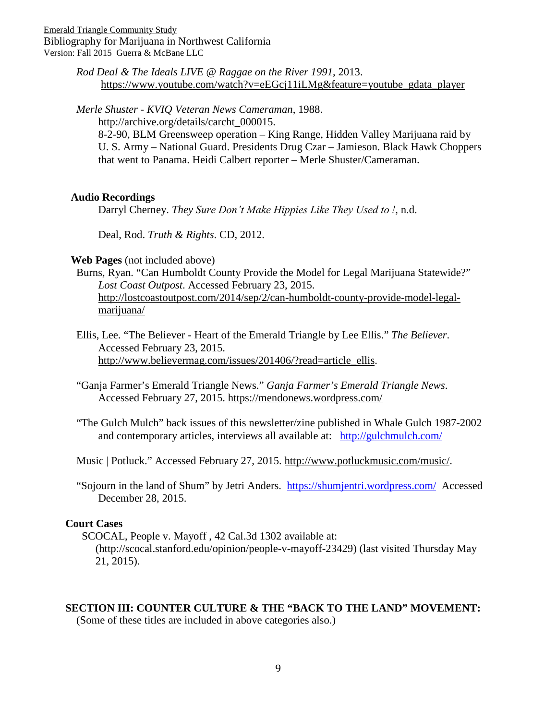*Rod Deal & The Ideals LIVE @ Raggae on the River 1991*, 2013. [https://www.youtube.com/watch?v=eEGcj11iLMg&feature=youtube\\_gdata\\_player](https://www.youtube.com/watch?v=eEGcj11iLMg&feature=youtube_gdata_player)

*Merle Shuster - KVIQ Veteran News Cameraman*, 1988.

[http://archive.org/details/carcht\\_000015.](http://archive.org/details/carcht_000015)

8-2-90, BLM Greensweep operation – King Range, Hidden Valley Marijuana raid by U. S. Army – National Guard. Presidents Drug Czar – Jamieson. Black Hawk Choppers that went to Panama. Heidi Calbert reporter – Merle Shuster/Cameraman.

## **Audio Recordings**

Darryl Cherney. *They Sure Don't Make Hippies Like They Used to !*, n.d.

Deal, Rod. *Truth & Rights*. CD, 2012.

#### **Web Pages** (not included above)

Burns, Ryan. "Can Humboldt County Provide the Model for Legal Marijuana Statewide?" *Lost Coast Outpost*. Accessed February 23, 2015. [http://lostcoastoutpost.com/2014/sep/2/can-humboldt-county-provide-model-legal](http://lostcoastoutpost.com/2014/sep/2/can-humboldt-county-provide-model-legal-marijuana/)[marijuana/](http://lostcoastoutpost.com/2014/sep/2/can-humboldt-county-provide-model-legal-marijuana/)

- Ellis, Lee. "The Believer Heart of the Emerald Triangle by Lee Ellis." *The Believer*. Accessed February 23, 2015. [http://www.believermag.com/issues/201406/?read=article\\_ellis.](http://www.believermag.com/issues/201406/?read=article_ellis)
- "Ganja Farmer's Emerald Triangle News." *Ganja Farmer's Emerald Triangle News*. Accessed February 27, 2015.<https://mendonews.wordpress.com/>
- "The Gulch Mulch" back issues of this newsletter/zine published in Whale Gulch 1987-2002 and contemporary articles, interviews all available at: <http://gulchmulch.com/>

Music | Potluck." Accessed February 27, 2015. [http://www.potluckmusic.com/music/.](http://www.potluckmusic.com/music/)

"Sojourn in the land of Shum" by Jetri Anders. <https://shumjentri.wordpress.com/>Accessed December 28, 2015.

## **Court Cases**

 SCOCAL, People v. Mayoff , 42 Cal.3d 1302 available at: (http://scocal.stanford.edu/opinion/people-v-mayoff-23429) (last visited Thursday May 21, 2015).

## **SECTION III: COUNTER CULTURE & THE "BACK TO THE LAND" MOVEMENT:**

(Some of these titles are included in above categories also.)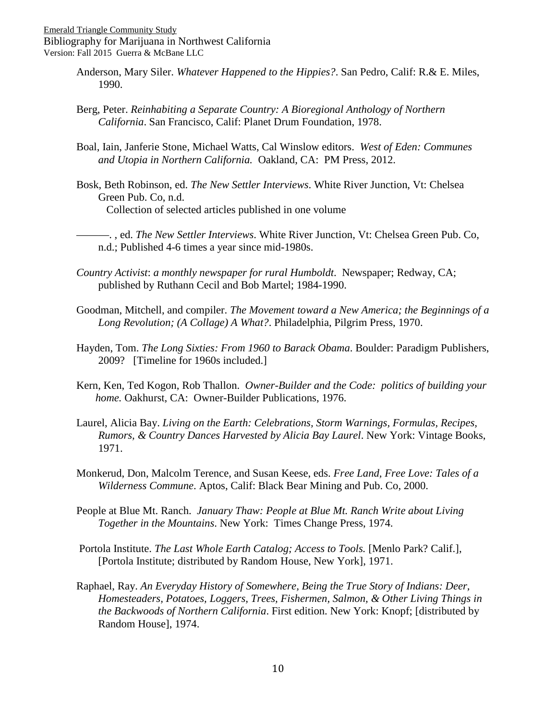- Anderson, Mary Siler. *Whatever Happened to the Hippies?*. San Pedro, Calif: R.& E. Miles, 1990.
- Berg, Peter. *Reinhabiting a Separate Country: A Bioregional Anthology of Northern California*. San Francisco, Calif: Planet Drum Foundation, 1978.
- Boal, Iain, Janferie Stone, Michael Watts, Cal Winslow editors. *West of Eden: Communes and Utopia in Northern California.* Oakland, CA: PM Press, 2012.
- Bosk, Beth Robinson, ed. *The New Settler Interviews*. White River Junction, Vt: Chelsea Green Pub. Co, n.d. Collection of selected articles published in one volume
	- ———. , ed. *The New Settler Interviews*. White River Junction, Vt: Chelsea Green Pub. Co, n.d.; Published 4-6 times a year since mid-1980s.
- *Country Activist*: *a monthly newspaper for rural Humboldt*. Newspaper; Redway, CA; published by Ruthann Cecil and Bob Martel; 1984-1990.
- Goodman, Mitchell, and compiler. *The Movement toward a New America; the Beginnings of a Long Revolution; (A Collage) A What?*. Philadelphia, Pilgrim Press, 1970.
- Hayden, Tom. *The Long Sixties: From 1960 to Barack Obama*. Boulder: Paradigm Publishers, 2009? [Timeline for 1960s included.]
- Kern, Ken, Ted Kogon, Rob Thallon. *Owner-Builder and the Code: politics of building your home.* Oakhurst, CA: Owner-Builder Publications, 1976.
- Laurel, Alicia Bay. *Living on the Earth: Celebrations, Storm Warnings, Formulas, Recipes, Rumors, & Country Dances Harvested by Alicia Bay Laurel*. New York: Vintage Books, 1971.
- Monkerud, Don, Malcolm Terence, and Susan Keese, eds. *Free Land, Free Love: Tales of a Wilderness Commune*. Aptos, Calif: Black Bear Mining and Pub. Co, 2000.
- People at Blue Mt. Ranch. *January Thaw: People at Blue Mt. Ranch Write about Living Together in the Mountains*. New York: Times Change Press, 1974.
- Portola Institute. *The Last Whole Earth Catalog; Access to Tools.* [Menlo Park? Calif.], [Portola Institute; distributed by Random House, New York], 1971.
- Raphael, Ray. *An Everyday History of Somewhere, Being the True Story of Indians: Deer, Homesteaders, Potatoes, Loggers, Trees, Fishermen, Salmon, & Other Living Things in the Backwoods of Northern California*. First edition. New York: Knopf; [distributed by Random House], 1974.